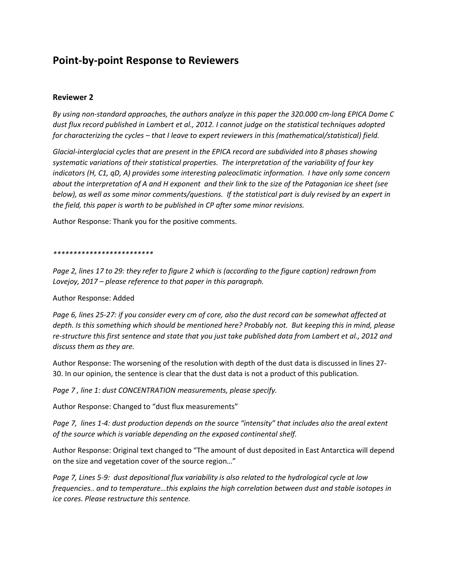## **Point-by-point Response to Reviewers**

## **Reviewer 2**

*By using non-standard approaches, the authors analyze in this paper the 320.000 cm-long EPICA Dome C dust flux record published in Lambert et al., 2012. I cannot judge on the statistical techniques adopted for characterizing the cycles – that I leave to expert reviewers in this (mathematical/statistical) field.* 

*Glacial-interglacial cycles that are present in the EPICA record are subdivided into 8 phases showing systematic variations of their statistical properties. The interpretation of the variability of four key indicators (H, C1, qD, A) provides some interesting paleoclimatic information. I have only some concern about the interpretation of A and H exponent and their link to the size of the Patagonian ice sheet (see below), as well as some minor comments/questions. If the statistical part is duly revised by an expert in the field, this paper is worth to be published in CP after some minor revisions.* 

Author Response: Thank you for the positive comments.

## *\*\*\*\*\*\*\*\*\*\*\*\*\*\*\*\*\*\*\*\*\*\*\*\*\**

*Page 2, lines 17 to 29: they refer to figure 2 which is (according to the figure caption) redrawn from Lovejoy, 2017 – please reference to that paper in this paragraph.* 

Author Response: Added

*Page 6, lines 25-27: if you consider every cm of core, also the dust record can be somewhat affected at depth. Is this something which should be mentioned here? Probably not. But keeping this in mind, please re-structure this first sentence and state that you just take published data from Lambert et al., 2012 and discuss them as they are.* 

Author Response: The worsening of the resolution with depth of the dust data is discussed in lines 27- 30. In our opinion, the sentence is clear that the dust data is not a product of this publication.

*Page 7 , line 1: dust CONCENTRATION measurements, please specify.* 

Author Response: Changed to "dust flux measurements"

*Page 7, lines 1-4: dust production depends on the source "intensity" that includes also the areal extent of the source which is variable depending on the exposed continental shelf.* 

Author Response: Original text changed to "The amount of dust deposited in East Antarctica will depend on the size and vegetation cover of the source region…"

*Page 7, Lines 5-9: dust depositional flux variability is also related to the hydrological cycle at low frequencies.. and to temperature…this explains the high correlation between dust and stable isotopes in ice cores. Please restructure this sentence.*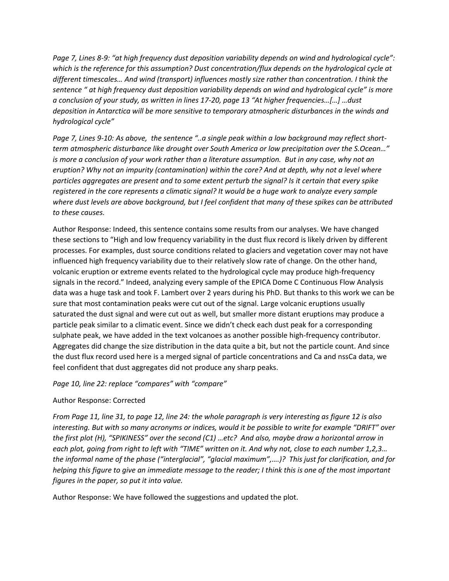*Page 7, Lines 8-9: "at high frequency dust deposition variability depends on wind and hydrological cycle": which is the reference for this assumption? Dust concentration/flux depends on the hydrological cycle at different timescales… And wind (transport) influences mostly size rather than concentration. I think the sentence " at high frequency dust deposition variability depends on wind and hydrological cycle" is more a conclusion of your study, as written in lines 17-20, page 13 "At higher frequencies…[…] …dust deposition in Antarctica will be more sensitive to temporary atmospheric disturbances in the winds and hydrological cycle"* 

*Page 7, Lines 9-10: As above, the sentence "..a single peak within a low background may reflect shortterm atmospheric disturbance like drought over South America or low precipitation over the S.Ocean…" is more a conclusion of your work rather than a literature assumption. But in any case, why not an eruption? Why not an impurity (contamination) within the core? And at depth, why not a level where particles aggregates are present and to some extent perturb the signal? Is it certain that every spike registered in the core represents a climatic signal? It would be a huge work to analyze every sample where dust levels are above background, but I feel confident that many of these spikes can be attributed to these causes.* 

Author Response: Indeed, this sentence contains some results from our analyses. We have changed these sections to "High and low frequency variability in the dust flux record is likely driven by different processes. For examples, dust source conditions related to glaciers and vegetation cover may not have influenced high frequency variability due to their relatively slow rate of change. On the other hand, volcanic eruption or extreme events related to the hydrological cycle may produce high-frequency signals in the record." Indeed, analyzing every sample of the EPICA Dome C Continuous Flow Analysis data was a huge task and took F. Lambert over 2 years during his PhD. But thanks to this work we can be sure that most contamination peaks were cut out of the signal. Large volcanic eruptions usually saturated the dust signal and were cut out as well, but smaller more distant eruptions may produce a particle peak similar to a climatic event. Since we didn't check each dust peak for a corresponding sulphate peak, we have added in the text volcanoes as another possible high-frequency contributor. Aggregates did change the size distribution in the data quite a bit, but not the particle count. And since the dust flux record used here is a merged signal of particle concentrations and Ca and nssCa data, we feel confident that dust aggregates did not produce any sharp peaks.

*Page 10, line 22: replace "compares" with "compare"* 

## Author Response: Corrected

*From Page 11, line 31, to page 12, line 24: the whole paragraph is very interesting as figure 12 is also interesting. But with so many acronyms or indices, would it be possible to write for example "DRIFT" over the first plot (H), "SPIKINESS" over the second (C1) …etc? And also, maybe draw a horizontal arrow in each plot, going from right to left with "TIME" written on it. And why not, close to each number 1,2,3… the informal name of the phase ("interglacial", "glacial maximum",….)? This just for clarification, and for helping this figure to give an immediate message to the reader; I think this is one of the most important figures in the paper, so put it into value.* 

Author Response: We have followed the suggestions and updated the plot.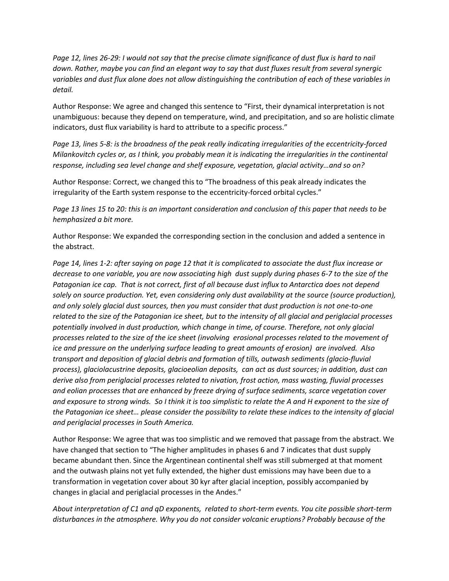*Page 12, lines 26-29: I would not say that the precise climate significance of dust flux is hard to nail down. Rather, maybe you can find an elegant way to say that dust fluxes result from several synergic variables and dust flux alone does not allow distinguishing the contribution of each of these variables in detail.* 

Author Response: We agree and changed this sentence to "First, their dynamical interpretation is not unambiguous: because they depend on temperature, wind, and precipitation, and so are holistic climate indicators, dust flux variability is hard to attribute to a specific process."

*Page 13, lines 5-8: is the broadness of the peak really indicating irregularities of the eccentricity-forced Milankovitch cycles or, as I think, you probably mean it is indicating the irregularities in the continental response, including sea level change and shelf exposure, vegetation, glacial activity…and so on?* 

Author Response: Correct, we changed this to "The broadness of this peak already indicates the irregularity of the Earth system response to the eccentricity-forced orbital cycles."

*Page 13 lines 15 to 20: this is an important consideration and conclusion of this paper that needs to be hemphasized a bit more.* 

Author Response: We expanded the corresponding section in the conclusion and added a sentence in the abstract.

*Page 14, lines 1-2: after saying on page 12 that it is complicated to associate the dust flux increase or decrease to one variable, you are now associating high dust supply during phases 6-7 to the size of the Patagonian ice cap. That is not correct, first of all because dust influx to Antarctica does not depend solely on source production. Yet, even considering only dust availability at the source (source production), and only solely glacial dust sources, then you must consider that dust production is not one-to-one related to the size of the Patagonian ice sheet, but to the intensity of all glacial and periglacial processes potentially involved in dust production, which change in time, of course. Therefore, not only glacial processes related to the size of the ice sheet (involving erosional processes related to the movement of ice and pressure on the underlying surface leading to great amounts of erosion) are involved. Also transport and deposition of glacial debris and formation of tills, outwash sediments (glacio-fluvial process), glaciolacustrine deposits, glacioeolian deposits, can act as dust sources; in addition, dust can derive also from periglacial processes related to nivation, frost action, mass wasting, fluvial processes and eolian processes that are enhanced by freeze drying of surface sediments, scarce vegetation cover and exposure to strong winds. So I think it is too simplistic to relate the A and H exponent to the size of the Patagonian ice sheet… please consider the possibility to relate these indices to the intensity of glacial and periglacial processes in South America.* 

Author Response: We agree that was too simplistic and we removed that passage from the abstract. We have changed that section to "The higher amplitudes in phases 6 and 7 indicates that dust supply became abundant then. Since the Argentinean continental shelf was still submerged at that moment and the outwash plains not yet fully extended, the higher dust emissions may have been due to a transformation in vegetation cover about 30 kyr after glacial inception, possibly accompanied by changes in glacial and periglacial processes in the Andes."

*About interpretation of C1 and qD exponents, related to short-term events. You cite possible short-term disturbances in the atmosphere. Why you do not consider volcanic eruptions? Probably because of the*